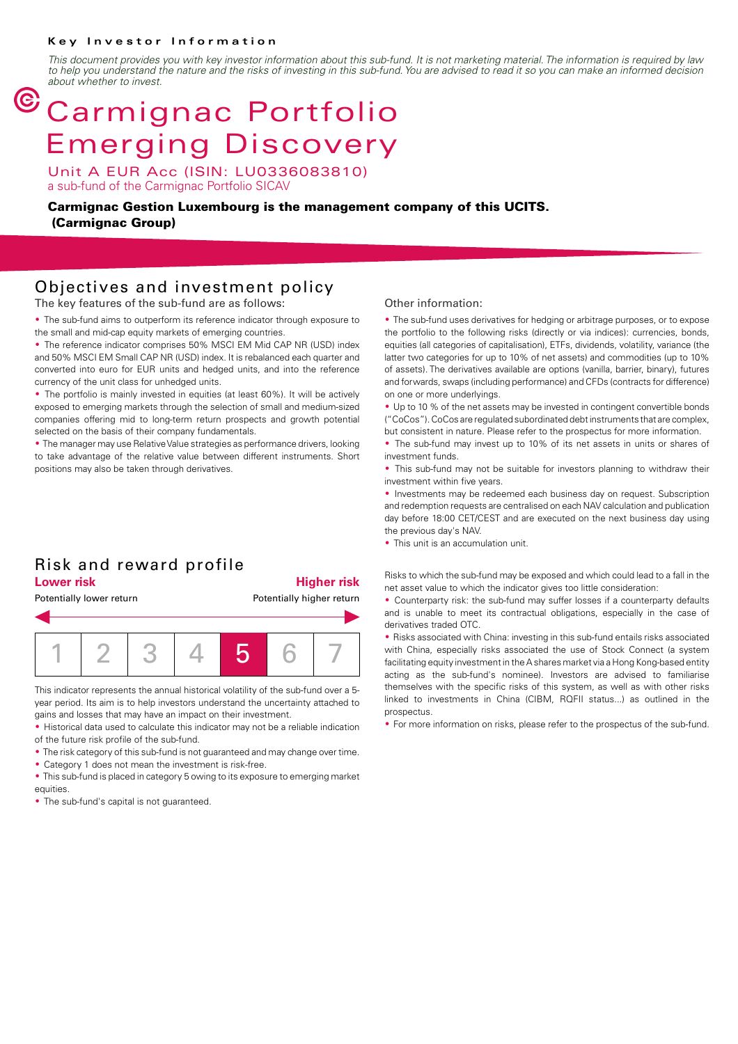#### **Key Investor Information**

*This document provides you with key investor information about this sub-fund. It is not marketing material. The information is required by law to help you understand the nature and the risks of investing in this sub-fund. You are advised to read it so you can make an informed decision about whether to invest.*

## $<sup>©</sup> Carmignac Portfolio$ </sup> Emerging Discovery

Unit A EUR Acc (ISIN: LU0336083810) a sub-fund of the Carmignac Portfolio SICAV

**Carmignac Gestion Luxembourg is the management company of this UCITS. (Carmignac Group)**

### Objectives and investment policy

The key features of the sub-fund are as follows:

• The sub-fund aims to outperform its reference indicator through exposure to the small and mid-cap equity markets of emerging countries.

• The reference indicator comprises 50% MSCI EM Mid CAP NR (USD) index and 50% MSCI EM Small CAP NR (USD) index. It is rebalanced each quarter and converted into euro for EUR units and hedged units, and into the reference currency of the unit class for unhedged units.

• The portfolio is mainly invested in equities (at least 60%). It will be actively exposed to emerging markets through the selection of small and medium-sized companies offering mid to long-term return prospects and growth potential selected on the basis of their company fundamentals.

• The manager may use Relative Value strategies as performance drivers, looking to take advantage of the relative value between different instruments. Short positions may also be taken through derivatives.

#### Risk and reward profile **Lower risk Higher risk**

# Potentially lower return **Potentially higher return** 1 2 3 4 5 6 7

This indicator represents the annual historical volatility of the sub-fund over a 5 year period. Its aim is to help investors understand the uncertainty attached to gains and losses that may have an impact on their investment.

• Historical data used to calculate this indicator may not be a reliable indication of the future risk profile of the sub-fund.

• The risk category of this sub-fund is not guaranteed and may change over time.

• Category 1 does not mean the investment is risk-free.

• This sub-fund is placed in category 5 owing to its exposure to emerging market equities.

• The sub-fund's capital is not guaranteed.

#### Other information:

• The sub-fund uses derivatives for hedging or arbitrage purposes, or to expose the portfolio to the following risks (directly or via indices): currencies, bonds, equities (all categories of capitalisation), ETFs, dividends, volatility, variance (the latter two categories for up to 10% of net assets) and commodities (up to 10% of assets). The derivatives available are options (vanilla, barrier, binary), futures and forwards, swaps (including performance) and CFDs (contracts for difference) on one or more underlyings.

• Up to 10 % of the net assets may be invested in contingent convertible bonds ("CoCos"). CoCos are regulated subordinated debt instruments that are complex, but consistent in nature. Please refer to the prospectus for more information.

• The sub-fund may invest up to 10% of its net assets in units or shares of investment funds.

• This sub-fund may not be suitable for investors planning to withdraw their investment within five years.

• Investments may be redeemed each business day on request. Subscription and redemption requests are centralised on each NAV calculation and publication day before 18:00 CET/CEST and are executed on the next business day using the previous day's NAV.

• This unit is an accumulation unit.

Risks to which the sub-fund may be exposed and which could lead to a fall in the net asset value to which the indicator gives too little consideration:

2 Counterparty risk: the sub-fund may suffer losses if a counterparty defaults and is unable to meet its contractual obligations, especially in the case of derivatives traded OTC.

• Risks associated with China: investing in this sub-fund entails risks associated with China, especially risks associated the use of Stock Connect (a system facilitating equity investment in the A shares market via a Hong Kong-based entity acting as the sub-fund's nominee). Investors are advised to familiarise themselves with the specific risks of this system, as well as with other risks linked to investments in China (CIBM, RQFII status...) as outlined in the prospectus.

• For more information on risks, please refer to the prospectus of the sub-fund.